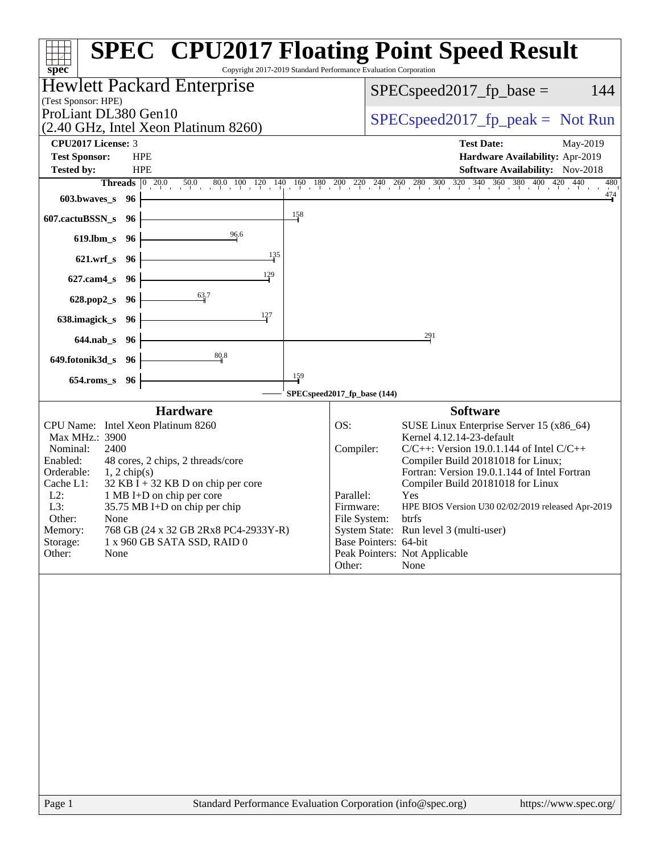| spec <sup>®</sup>                                                                                                                                                                                                                                                                                                                                                                                                                                  | <b>SPEC<sup>®</sup> CPU2017 Floating Point Speed Result</b><br>Copyright 2017-2019 Standard Performance Evaluation Corporation                                                                                                                                                                                                                                                                                                                                                                                                |
|----------------------------------------------------------------------------------------------------------------------------------------------------------------------------------------------------------------------------------------------------------------------------------------------------------------------------------------------------------------------------------------------------------------------------------------------------|-------------------------------------------------------------------------------------------------------------------------------------------------------------------------------------------------------------------------------------------------------------------------------------------------------------------------------------------------------------------------------------------------------------------------------------------------------------------------------------------------------------------------------|
| <b>Hewlett Packard Enterprise</b>                                                                                                                                                                                                                                                                                                                                                                                                                  | 144<br>$SPEC speed2017fp base =$                                                                                                                                                                                                                                                                                                                                                                                                                                                                                              |
| (Test Sponsor: HPE)<br>ProLiant DL380 Gen10<br>(2.40 GHz, Intel Xeon Platinum 8260)                                                                                                                                                                                                                                                                                                                                                                | $SPEC speed2017_fp\_peak = Not Run$                                                                                                                                                                                                                                                                                                                                                                                                                                                                                           |
| CPU2017 License: 3<br><b>Test Sponsor:</b><br><b>HPE</b><br><b>Tested by:</b><br><b>HPE</b><br>Threads $\begin{array}{ c} 0 \\ 20.0 \end{array}$                                                                                                                                                                                                                                                                                                   | <b>Test Date:</b><br>May-2019<br>Hardware Availability: Apr-2019<br><b>Software Availability:</b> Nov-2018<br>$\frac{50.0}{20} \quad \frac{80.0}{100} \quad \frac{100}{100} \quad \frac{120}{10} \quad \frac{140}{10} \quad \frac{160}{10} \quad \frac{180}{200} \quad \frac{200}{20} \quad \frac{220}{20} \quad \frac{240}{20} \quad \frac{260}{20} \quad \frac{300}{20} \quad \frac{320}{20} \quad \frac{340}{20} \quad \frac{360}{20} \quad \frac{380}{20} \quad \frac{400}{20} \quad \frac{420}{20} \$<br>480             |
| 603.bwaves_s<br>96<br>158<br>607.cactuBSSN_s<br>96                                                                                                                                                                                                                                                                                                                                                                                                 | $\frac{474}{1}$                                                                                                                                                                                                                                                                                                                                                                                                                                                                                                               |
| 96.6<br>$619$ .lbm_s<br>96                                                                                                                                                                                                                                                                                                                                                                                                                         |                                                                                                                                                                                                                                                                                                                                                                                                                                                                                                                               |
| 135<br>$621.wrf_s$<br>96                                                                                                                                                                                                                                                                                                                                                                                                                           |                                                                                                                                                                                                                                                                                                                                                                                                                                                                                                                               |
| 129<br>$627$ .cam $4$ <sub>S</sub><br>96                                                                                                                                                                                                                                                                                                                                                                                                           |                                                                                                                                                                                                                                                                                                                                                                                                                                                                                                                               |
| 63.7<br>628.pop2_s<br>96                                                                                                                                                                                                                                                                                                                                                                                                                           |                                                                                                                                                                                                                                                                                                                                                                                                                                                                                                                               |
| 127<br>638.imagick_s<br>- 96                                                                                                                                                                                                                                                                                                                                                                                                                       | 291                                                                                                                                                                                                                                                                                                                                                                                                                                                                                                                           |
| $644$ .nab $\sf s$<br>96<br>80.8<br>649.fotonik3d_s<br>96                                                                                                                                                                                                                                                                                                                                                                                          |                                                                                                                                                                                                                                                                                                                                                                                                                                                                                                                               |
| 159<br>$654$ .roms_s<br>96                                                                                                                                                                                                                                                                                                                                                                                                                         |                                                                                                                                                                                                                                                                                                                                                                                                                                                                                                                               |
|                                                                                                                                                                                                                                                                                                                                                                                                                                                    | SPECspeed2017_fp_base (144)                                                                                                                                                                                                                                                                                                                                                                                                                                                                                                   |
| <b>Hardware</b><br>CPU Name: Intel Xeon Platinum 8260<br>Max MHz.: 3900<br>Nominal:<br>2400<br>Enabled:<br>48 cores, 2 chips, 2 threads/core<br>Orderable:<br>$1, 2$ chip(s)<br>$32$ KB I + 32 KB D on chip per core<br>Cache L1:<br>1 MB I+D on chip per core<br>$L2$ :<br>35.75 MB I+D on chip per chip<br>L3:<br>Other:<br>None<br>Memory:<br>768 GB (24 x 32 GB 2Rx8 PC4-2933Y-R)<br>Storage:<br>1 x 960 GB SATA SSD, RAID 0<br>Other:<br>None | <b>Software</b><br>OS:<br>SUSE Linux Enterprise Server 15 (x86_64)<br>Kernel 4.12.14-23-default<br>Compiler:<br>$C/C++$ : Version 19.0.1.144 of Intel $C/C++$<br>Compiler Build 20181018 for Linux;<br>Fortran: Version 19.0.1.144 of Intel Fortran<br>Compiler Build 20181018 for Linux<br>Parallel:<br>Yes<br>Firmware:<br>HPE BIOS Version U30 02/02/2019 released Apr-2019<br>File System:<br>btrfs<br>System State: Run level 3 (multi-user)<br>Base Pointers: 64-bit<br>Peak Pointers: Not Applicable<br>Other:<br>None |
|                                                                                                                                                                                                                                                                                                                                                                                                                                                    |                                                                                                                                                                                                                                                                                                                                                                                                                                                                                                                               |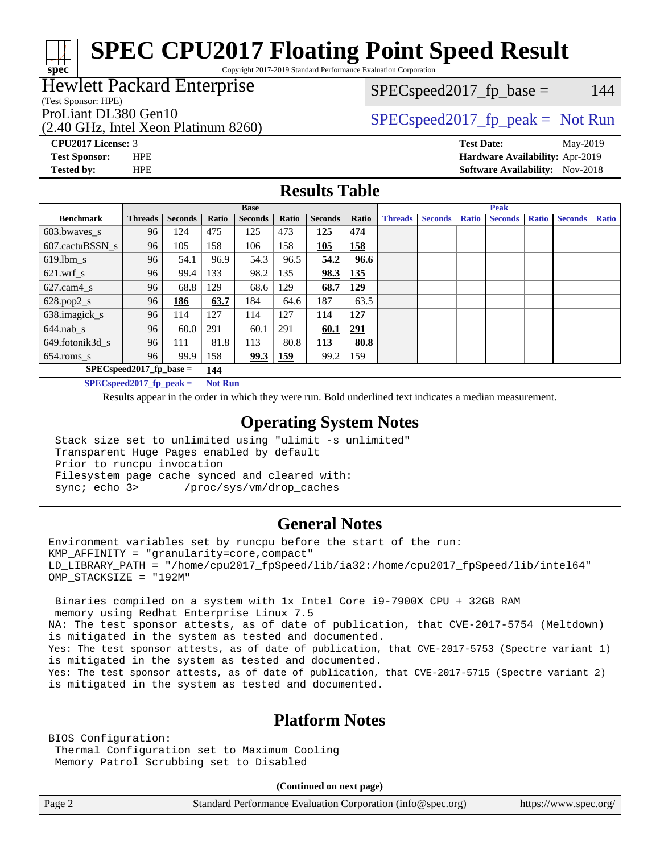## **[SPEC CPU2017 Floating Point Speed Result](http://www.spec.org/auto/cpu2017/Docs/result-fields.html#SPECCPU2017FloatingPointSpeedResult)**

Copyright 2017-2019 Standard Performance Evaluation Corporation

## Hewlett Packard Enterprise

(Test Sponsor: HPE)

**[spec](http://www.spec.org/)**

 $SPEC speed2017_fp\_base = 144$ 

(2.40 GHz, Intel Xeon Platinum 8260)

ProLiant DL380 Gen10<br>  $SPEC speed2017<sub>fp</sub> peak = Not Run$ 

**[CPU2017 License:](http://www.spec.org/auto/cpu2017/Docs/result-fields.html#CPU2017License)** 3 **[Test Date:](http://www.spec.org/auto/cpu2017/Docs/result-fields.html#TestDate)** May-2019

**[Test Sponsor:](http://www.spec.org/auto/cpu2017/Docs/result-fields.html#TestSponsor)** HPE **[Hardware Availability:](http://www.spec.org/auto/cpu2017/Docs/result-fields.html#HardwareAvailability)** Apr-2019 **[Tested by:](http://www.spec.org/auto/cpu2017/Docs/result-fields.html#Testedby)** HPE **[Software Availability:](http://www.spec.org/auto/cpu2017/Docs/result-fields.html#SoftwareAvailability)** Nov-2018

### **[Results Table](http://www.spec.org/auto/cpu2017/Docs/result-fields.html#ResultsTable)**

|                  | <b>Base</b>                                   |                |           |                |            | <b>Peak</b>    |            |                |                |              |                |              |                |              |
|------------------|-----------------------------------------------|----------------|-----------|----------------|------------|----------------|------------|----------------|----------------|--------------|----------------|--------------|----------------|--------------|
| <b>Benchmark</b> | <b>Threads</b>                                | <b>Seconds</b> | Ratio     | <b>Seconds</b> | Ratio      | <b>Seconds</b> | Ratio      | <b>Threads</b> | <b>Seconds</b> | <b>Ratio</b> | <b>Seconds</b> | <b>Ratio</b> | <b>Seconds</b> | <b>Ratio</b> |
| $603.bwaves$ s   | 96                                            | 124            | 475       | 125            | 473        | 125            | 474        |                |                |              |                |              |                |              |
| 607.cactuBSSN s  | 96                                            | 105            | 158       | 106            | 158        | 105            | <b>158</b> |                |                |              |                |              |                |              |
| $619.$ lbm_s     | 96                                            | 54.1           | 96.9      | 54.3           | 96.5       | 54.2           | 96.6       |                |                |              |                |              |                |              |
| $621.wrf$ s      | 96                                            | 99.4           | 133       | 98.2           | 135        | 98.3           | 135        |                |                |              |                |              |                |              |
| $627$ .cam4 s    | 96                                            | 68.8           | 129       | 68.6           | 129        | 68.7           | <u>129</u> |                |                |              |                |              |                |              |
| $628.pop2_s$     | 96                                            | 186            | 63.7      | 184            | 64.6       | 187            | 63.5       |                |                |              |                |              |                |              |
| 638.imagick_s    | 96                                            | 114            | 127       | 114            | 127        | 114            | 127        |                |                |              |                |              |                |              |
| $644$ .nab s     | 96                                            | 60.0           | 291       | 60.1           | 291        | 60.1           | 291        |                |                |              |                |              |                |              |
| 649.fotonik3d s  | 96                                            | 111            | 81.8      | 113            | 80.8       | 113            | 80.8       |                |                |              |                |              |                |              |
| $654$ .roms_s    | 96                                            | 99.9           | 158       | 99.3           | <b>159</b> | 99.2           | 159        |                |                |              |                |              |                |              |
|                  | $SPEC speed2017_fp\_base =$                   |                | 144       |                |            |                |            |                |                |              |                |              |                |              |
|                  | $CDFCA_{\text{max}}$ $32017$ for $\text{max}$ |                | Mad Davis |                |            |                |            |                |                |              |                |              |                |              |

**[SPECspeed2017\\_fp\\_peak =](http://www.spec.org/auto/cpu2017/Docs/result-fields.html#SPECspeed2017fppeak) Not Run**

Results appear in the [order in which they were run.](http://www.spec.org/auto/cpu2017/Docs/result-fields.html#RunOrder) Bold underlined text [indicates a median measurement](http://www.spec.org/auto/cpu2017/Docs/result-fields.html#Median).

### **[Operating System Notes](http://www.spec.org/auto/cpu2017/Docs/result-fields.html#OperatingSystemNotes)**

 Stack size set to unlimited using "ulimit -s unlimited" Transparent Huge Pages enabled by default Prior to runcpu invocation Filesystem page cache synced and cleared with: sync; echo 3> /proc/sys/vm/drop\_caches

## **[General Notes](http://www.spec.org/auto/cpu2017/Docs/result-fields.html#GeneralNotes)**

Environment variables set by runcpu before the start of the run: KMP\_AFFINITY = "granularity=core,compact" LD\_LIBRARY\_PATH = "/home/cpu2017\_fpSpeed/lib/ia32:/home/cpu2017\_fpSpeed/lib/intel64" OMP\_STACKSIZE = "192M"

 Binaries compiled on a system with 1x Intel Core i9-7900X CPU + 32GB RAM memory using Redhat Enterprise Linux 7.5 NA: The test sponsor attests, as of date of publication, that CVE-2017-5754 (Meltdown) is mitigated in the system as tested and documented. Yes: The test sponsor attests, as of date of publication, that CVE-2017-5753 (Spectre variant 1) is mitigated in the system as tested and documented. Yes: The test sponsor attests, as of date of publication, that CVE-2017-5715 (Spectre variant 2) is mitigated in the system as tested and documented.

## **[Platform Notes](http://www.spec.org/auto/cpu2017/Docs/result-fields.html#PlatformNotes)**

BIOS Configuration: Thermal Configuration set to Maximum Cooling Memory Patrol Scrubbing set to Disabled

**(Continued on next page)**

Page 2 Standard Performance Evaluation Corporation [\(info@spec.org\)](mailto:info@spec.org) <https://www.spec.org/>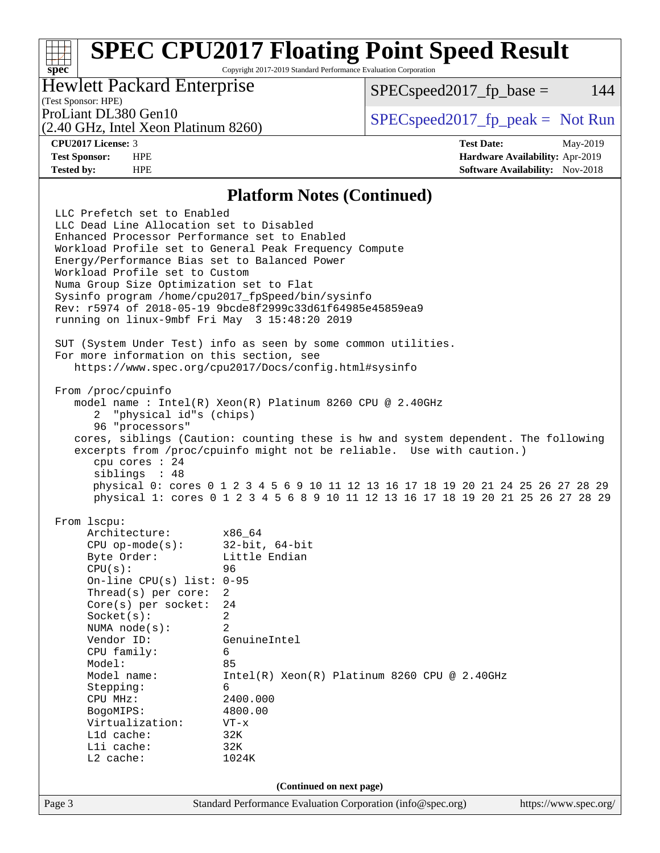## **[SPEC CPU2017 Floating Point Speed Result](http://www.spec.org/auto/cpu2017/Docs/result-fields.html#SPECCPU2017FloatingPointSpeedResult)**

Copyright 2017-2019 Standard Performance Evaluation Corporation

Hewlett Packard Enterprise

 $SPEC speed2017<sub>fp</sub> base = 144$ 

## (Test Sponsor: HPE)

(2.40 GHz, Intel Xeon Platinum 8260)

ProLiant DL380 Gen10  $SPEC speed2017$  [p\_peak = Not Run

**[spec](http://www.spec.org/)**

**[CPU2017 License:](http://www.spec.org/auto/cpu2017/Docs/result-fields.html#CPU2017License)** 3 **[Test Date:](http://www.spec.org/auto/cpu2017/Docs/result-fields.html#TestDate)** May-2019 **[Test Sponsor:](http://www.spec.org/auto/cpu2017/Docs/result-fields.html#TestSponsor)** HPE **[Hardware Availability:](http://www.spec.org/auto/cpu2017/Docs/result-fields.html#HardwareAvailability)** Apr-2019 **[Tested by:](http://www.spec.org/auto/cpu2017/Docs/result-fields.html#Testedby)** HPE **HPE [Software Availability:](http://www.spec.org/auto/cpu2017/Docs/result-fields.html#SoftwareAvailability)** Nov-2018

### **[Platform Notes \(Continued\)](http://www.spec.org/auto/cpu2017/Docs/result-fields.html#PlatformNotes)**

Page 3 Standard Performance Evaluation Corporation [\(info@spec.org\)](mailto:info@spec.org) <https://www.spec.org/> LLC Prefetch set to Enabled LLC Dead Line Allocation set to Disabled Enhanced Processor Performance set to Enabled Workload Profile set to General Peak Frequency Compute Energy/Performance Bias set to Balanced Power Workload Profile set to Custom Numa Group Size Optimization set to Flat Sysinfo program /home/cpu2017\_fpSpeed/bin/sysinfo Rev: r5974 of 2018-05-19 9bcde8f2999c33d61f64985e45859ea9 running on linux-9mbf Fri May 3 15:48:20 2019 SUT (System Under Test) info as seen by some common utilities. For more information on this section, see <https://www.spec.org/cpu2017/Docs/config.html#sysinfo> From /proc/cpuinfo model name : Intel(R) Xeon(R) Platinum 8260 CPU @ 2.40GHz 2 "physical id"s (chips) 96 "processors" cores, siblings (Caution: counting these is hw and system dependent. The following excerpts from /proc/cpuinfo might not be reliable. Use with caution.) cpu cores : 24 siblings : 48 physical 0: cores 0 1 2 3 4 5 6 9 10 11 12 13 16 17 18 19 20 21 24 25 26 27 28 29 physical 1: cores 0 1 2 3 4 5 6 8 9 10 11 12 13 16 17 18 19 20 21 25 26 27 28 29 From lscpu: Architecture: x86\_64<br>CPU op-mode(s): 32-bit, 64-bit CPU op-mode $(s):$ Byte Order: Little Endian CPU(s): 96 On-line CPU(s) list: 0-95 Thread(s) per core: 2 Core(s) per socket: 24 Socket(s): 2 NUMA node(s): 2 Vendor ID: GenuineIntel CPU family: 6 Model: 85 Model name: Intel(R) Xeon(R) Platinum 8260 CPU @ 2.40GHz Stepping: 6 CPU MHz: 2400.000 BogoMIPS: 4800.00 Virtualization: VT-x L1d cache: 32K L1i cache: 32K L2 cache: 1024K **(Continued on next page)**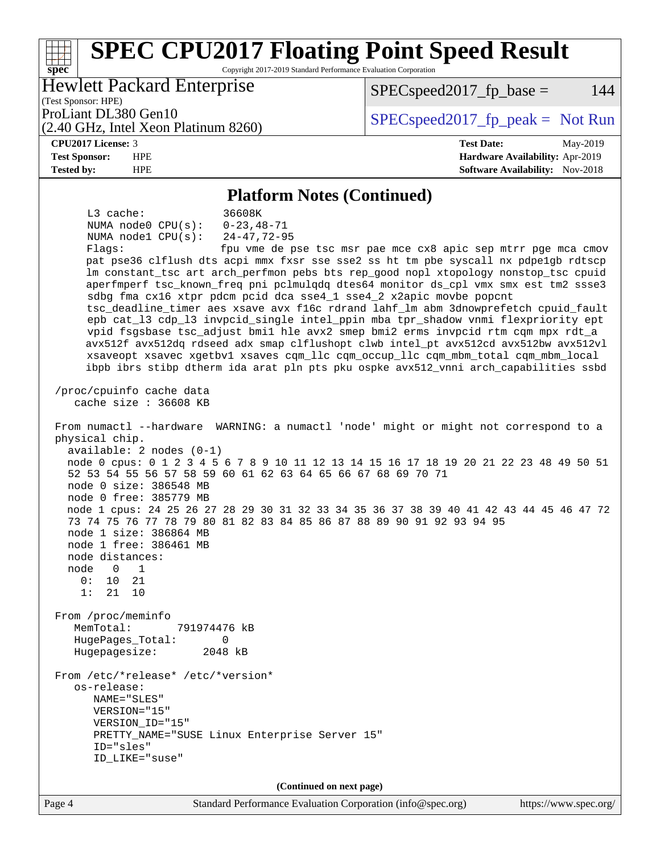### **[spec](http://www.spec.org/) [SPEC CPU2017 Floating Point Speed Result](http://www.spec.org/auto/cpu2017/Docs/result-fields.html#SPECCPU2017FloatingPointSpeedResult)** Copyright 2017-2019 Standard Performance Evaluation Corporation (Test Sponsor: HPE) Hewlett Packard Enterprise (2.40 GHz, Intel Xeon Platinum 8260) ProLiant DL380 Gen10<br>  $SPEC speed2017<sub>fp</sub> peak = Not Run$  $SPEC speed2017<sub>fp</sub> base = 144$ **[CPU2017 License:](http://www.spec.org/auto/cpu2017/Docs/result-fields.html#CPU2017License)** 3 **[Test Date:](http://www.spec.org/auto/cpu2017/Docs/result-fields.html#TestDate)** May-2019 **[Test Sponsor:](http://www.spec.org/auto/cpu2017/Docs/result-fields.html#TestSponsor)** HPE **[Hardware Availability:](http://www.spec.org/auto/cpu2017/Docs/result-fields.html#HardwareAvailability)** Apr-2019 **[Tested by:](http://www.spec.org/auto/cpu2017/Docs/result-fields.html#Testedby)** HPE **[Software Availability:](http://www.spec.org/auto/cpu2017/Docs/result-fields.html#SoftwareAvailability)** Nov-2018 **[Platform Notes \(Continued\)](http://www.spec.org/auto/cpu2017/Docs/result-fields.html#PlatformNotes)** L3 cache: 36608K NUMA node0 CPU(s): 0-23,48-71 NUMA node1 CPU(s): 24-47,72-95 Flags: fpu vme de pse tsc msr pae mce cx8 apic sep mtrr pge mca cmov pat pse36 clflush dts acpi mmx fxsr sse sse2 ss ht tm pbe syscall nx pdpe1gb rdtscp lm constant\_tsc art arch\_perfmon pebs bts rep\_good nopl xtopology nonstop\_tsc cpuid aperfmperf tsc\_known\_freq pni pclmulqdq dtes64 monitor ds\_cpl vmx smx est tm2 ssse3 sdbg fma cx16 xtpr pdcm pcid dca sse4\_1 sse4\_2 x2apic movbe popcnt tsc\_deadline\_timer aes xsave avx f16c rdrand lahf\_lm abm 3dnowprefetch cpuid\_fault epb cat\_l3 cdp\_l3 invpcid\_single intel\_ppin mba tpr\_shadow vnmi flexpriority ept vpid fsgsbase tsc\_adjust bmi1 hle avx2 smep bmi2 erms invpcid rtm cqm mpx rdt\_a avx512f avx512dq rdseed adx smap clflushopt clwb intel\_pt avx512cd avx512bw avx512vl xsaveopt xsavec xgetbv1 xsaves cqm\_llc cqm\_occup\_llc cqm\_mbm\_total cqm\_mbm\_local ibpb ibrs stibp dtherm ida arat pln pts pku ospke avx512\_vnni arch\_capabilities ssbd /proc/cpuinfo cache data cache size : 36608 KB From numactl --hardware WARNING: a numactl 'node' might or might not correspond to a physical chip. available: 2 nodes (0-1) node 0 cpus: 0 1 2 3 4 5 6 7 8 9 10 11 12 13 14 15 16 17 18 19 20 21 22 23 48 49 50 51 52 53 54 55 56 57 58 59 60 61 62 63 64 65 66 67 68 69 70 71 node 0 size: 386548 MB node 0 free: 385779 MB node 1 cpus: 24 25 26 27 28 29 30 31 32 33 34 35 36 37 38 39 40 41 42 43 44 45 46 47 72 73 74 75 76 77 78 79 80 81 82 83 84 85 86 87 88 89 90 91 92 93 94 95 node 1 size: 386864 MB node 1 free: 386461 MB node distances: node 0 1  $0: 10 21$  1: 21 10 From /proc/meminfo MemTotal: 791974476 kB HugePages\_Total: 0 Hugepagesize: 2048 kB From /etc/\*release\* /etc/\*version\* os-release: NAME="SLES" VERSION="15" VERSION\_ID="15" PRETTY\_NAME="SUSE Linux Enterprise Server 15" ID="sles" ID\_LIKE="suse"

**(Continued on next page)**

Page 4 Standard Performance Evaluation Corporation [\(info@spec.org\)](mailto:info@spec.org) <https://www.spec.org/>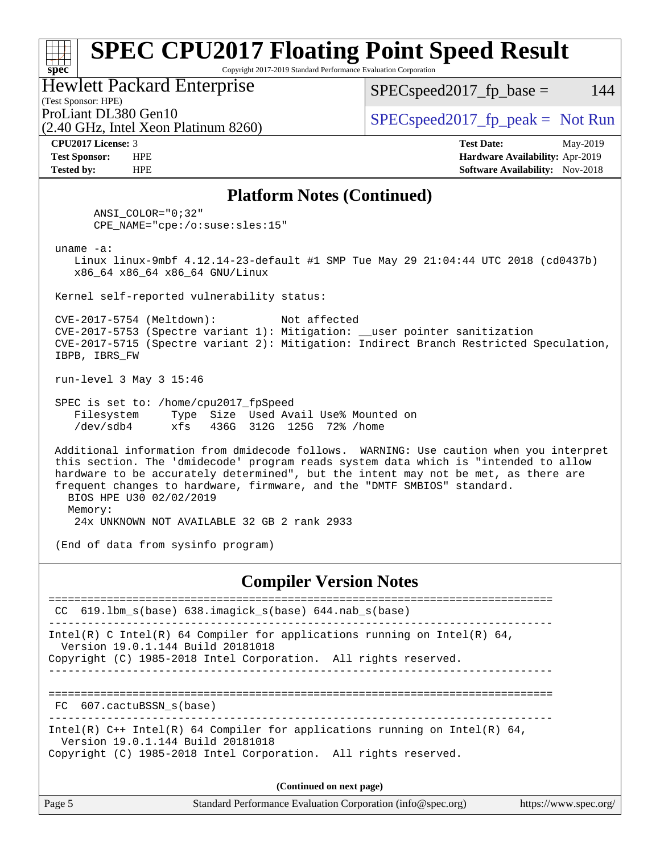#### **[spec](http://www.spec.org/) [SPEC CPU2017 Floating Point Speed Result](http://www.spec.org/auto/cpu2017/Docs/result-fields.html#SPECCPU2017FloatingPointSpeedResult)** Copyright 2017-2019 Standard Performance Evaluation Corporation (Test Sponsor: HPE) Hewlett Packard Enterprise (2.40 GHz, Intel Xeon Platinum 8260) ProLiant DL380 Gen10  $SPEC speed2017<sub>fp</sub> peak = Not Run$  $SPEC speed2017_fp\_base = 144$

**[CPU2017 License:](http://www.spec.org/auto/cpu2017/Docs/result-fields.html#CPU2017License)** 3 **[Test Date:](http://www.spec.org/auto/cpu2017/Docs/result-fields.html#TestDate)** May-2019 **[Test Sponsor:](http://www.spec.org/auto/cpu2017/Docs/result-fields.html#TestSponsor)** HPE **[Hardware Availability:](http://www.spec.org/auto/cpu2017/Docs/result-fields.html#HardwareAvailability)** Apr-2019 **[Tested by:](http://www.spec.org/auto/cpu2017/Docs/result-fields.html#Testedby)** HPE **HPE [Software Availability:](http://www.spec.org/auto/cpu2017/Docs/result-fields.html#SoftwareAvailability)** Nov-2018

### **[Platform Notes \(Continued\)](http://www.spec.org/auto/cpu2017/Docs/result-fields.html#PlatformNotes)**

 ANSI\_COLOR="0;32" CPE\_NAME="cpe:/o:suse:sles:15"

uname -a:

 Linux linux-9mbf 4.12.14-23-default #1 SMP Tue May 29 21:04:44 UTC 2018 (cd0437b) x86\_64 x86\_64 x86\_64 GNU/Linux

Kernel self-reported vulnerability status:

 CVE-2017-5754 (Meltdown): Not affected CVE-2017-5753 (Spectre variant 1): Mitigation: \_\_user pointer sanitization CVE-2017-5715 (Spectre variant 2): Mitigation: Indirect Branch Restricted Speculation, IBPB, IBRS\_FW

run-level 3 May 3 15:46

 SPEC is set to: /home/cpu2017\_fpSpeed Filesystem Type Size Used Avail Use% Mounted on /dev/sdb4 xfs 436G 312G 125G 72% /home

 Additional information from dmidecode follows. WARNING: Use caution when you interpret this section. The 'dmidecode' program reads system data which is "intended to allow hardware to be accurately determined", but the intent may not be met, as there are frequent changes to hardware, firmware, and the "DMTF SMBIOS" standard. BIOS HPE U30 02/02/2019 Memory:

24x UNKNOWN NOT AVAILABLE 32 GB 2 rank 2933

(End of data from sysinfo program)

## **[Compiler Version Notes](http://www.spec.org/auto/cpu2017/Docs/result-fields.html#CompilerVersionNotes)**

============================================================================== CC 619.lbm\_s(base) 638.imagick\_s(base) 644.nab\_s(base) ------------------------------------------------------------------------------ Intel(R) C Intel(R) 64 Compiler for applications running on Intel(R)  $64$ , Version 19.0.1.144 Build 20181018 Copyright (C) 1985-2018 Intel Corporation. All rights reserved. ------------------------------------------------------------------------------ ============================================================================== FC 607.cactuBSSN\_s(base) ------------------------------------------------------------------------------ Intel(R) C++ Intel(R) 64 Compiler for applications running on Intel(R) 64, Version 19.0.1.144 Build 20181018 Copyright (C) 1985-2018 Intel Corporation. All rights reserved. **(Continued on next page)**

| Page 5 | Standard Performance Evaluation Corporation (info@spec.org) | https://www.spec.org/ |
|--------|-------------------------------------------------------------|-----------------------|
|        |                                                             |                       |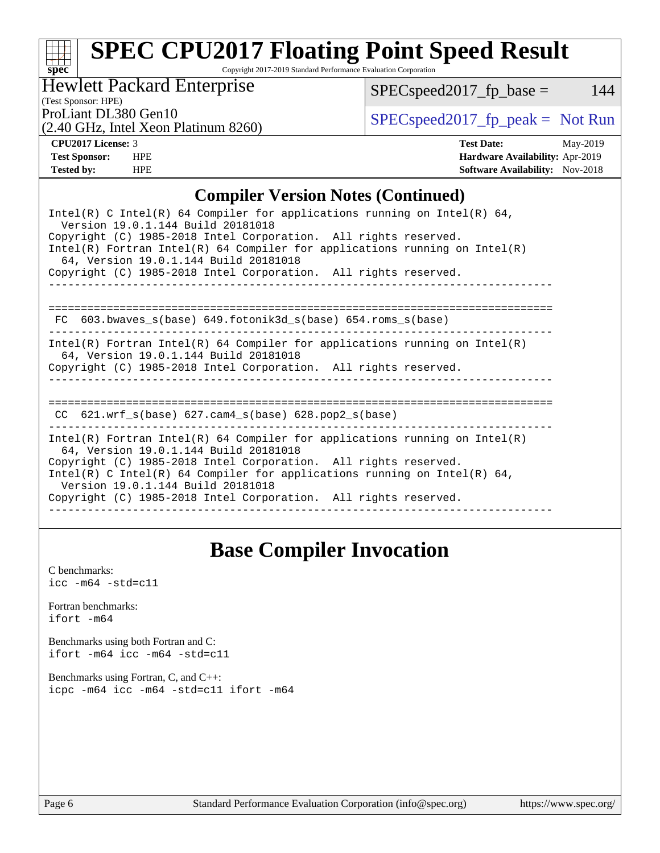# **[spec](http://www.spec.org/)**

## **[SPEC CPU2017 Floating Point Speed Result](http://www.spec.org/auto/cpu2017/Docs/result-fields.html#SPECCPU2017FloatingPointSpeedResult)**

Copyright 2017-2019 Standard Performance Evaluation Corporation

Hewlett Packard Enterprise

(2.40 GHz, Intel Xeon Platinum 8260)

 $SPEC speed2017_fp\_base = 144$ 

(Test Sponsor: HPE)

ProLiant DL380 Gen10<br>  $(2.40 \text{ GHz. Intel Yoon Plutium } 8260)$  [SPECspeed2017\\_fp\\_peak =](http://www.spec.org/auto/cpu2017/Docs/result-fields.html#SPECspeed2017fppeak) Not Run

**[CPU2017 License:](http://www.spec.org/auto/cpu2017/Docs/result-fields.html#CPU2017License)** 3 **[Test Date:](http://www.spec.org/auto/cpu2017/Docs/result-fields.html#TestDate)** May-2019 **[Test Sponsor:](http://www.spec.org/auto/cpu2017/Docs/result-fields.html#TestSponsor)** HPE **[Hardware Availability:](http://www.spec.org/auto/cpu2017/Docs/result-fields.html#HardwareAvailability)** Apr-2019 **[Tested by:](http://www.spec.org/auto/cpu2017/Docs/result-fields.html#Testedby)** HPE **HPE [Software Availability:](http://www.spec.org/auto/cpu2017/Docs/result-fields.html#SoftwareAvailability)** Nov-2018

### **[Compiler Version Notes \(Continued\)](http://www.spec.org/auto/cpu2017/Docs/result-fields.html#CompilerVersionNotes)**

## **[Base Compiler Invocation](http://www.spec.org/auto/cpu2017/Docs/result-fields.html#BaseCompilerInvocation)**

[C benchmarks](http://www.spec.org/auto/cpu2017/Docs/result-fields.html#Cbenchmarks):  $\text{icc}$  -m64 -std=c11 [Fortran benchmarks](http://www.spec.org/auto/cpu2017/Docs/result-fields.html#Fortranbenchmarks): [ifort -m64](http://www.spec.org/cpu2017/results/res2019q3/cpu2017-20190703-15912.flags.html#user_FCbase_intel_ifort_64bit_24f2bb282fbaeffd6157abe4f878425411749daecae9a33200eee2bee2fe76f3b89351d69a8130dd5949958ce389cf37ff59a95e7a40d588e8d3a57e0c3fd751) [Benchmarks using both Fortran and C](http://www.spec.org/auto/cpu2017/Docs/result-fields.html#BenchmarksusingbothFortranandC): [ifort -m64](http://www.spec.org/cpu2017/results/res2019q3/cpu2017-20190703-15912.flags.html#user_CC_FCbase_intel_ifort_64bit_24f2bb282fbaeffd6157abe4f878425411749daecae9a33200eee2bee2fe76f3b89351d69a8130dd5949958ce389cf37ff59a95e7a40d588e8d3a57e0c3fd751) [icc -m64 -std=c11](http://www.spec.org/cpu2017/results/res2019q3/cpu2017-20190703-15912.flags.html#user_CC_FCbase_intel_icc_64bit_c11_33ee0cdaae7deeeab2a9725423ba97205ce30f63b9926c2519791662299b76a0318f32ddfffdc46587804de3178b4f9328c46fa7c2b0cd779d7a61945c91cd35) [Benchmarks using Fortran, C, and C++:](http://www.spec.org/auto/cpu2017/Docs/result-fields.html#BenchmarksusingFortranCandCXX) [icpc -m64](http://www.spec.org/cpu2017/results/res2019q3/cpu2017-20190703-15912.flags.html#user_CC_CXX_FCbase_intel_icpc_64bit_4ecb2543ae3f1412ef961e0650ca070fec7b7afdcd6ed48761b84423119d1bf6bdf5cad15b44d48e7256388bc77273b966e5eb805aefd121eb22e9299b2ec9d9) [icc -m64 -std=c11](http://www.spec.org/cpu2017/results/res2019q3/cpu2017-20190703-15912.flags.html#user_CC_CXX_FCbase_intel_icc_64bit_c11_33ee0cdaae7deeeab2a9725423ba97205ce30f63b9926c2519791662299b76a0318f32ddfffdc46587804de3178b4f9328c46fa7c2b0cd779d7a61945c91cd35) [ifort -m64](http://www.spec.org/cpu2017/results/res2019q3/cpu2017-20190703-15912.flags.html#user_CC_CXX_FCbase_intel_ifort_64bit_24f2bb282fbaeffd6157abe4f878425411749daecae9a33200eee2bee2fe76f3b89351d69a8130dd5949958ce389cf37ff59a95e7a40d588e8d3a57e0c3fd751)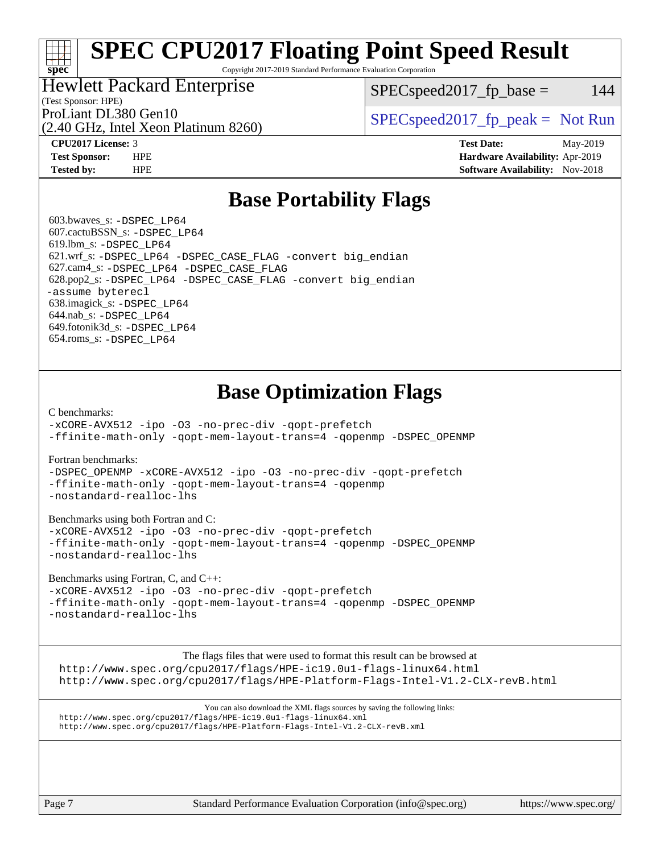## **[SPEC CPU2017 Floating Point Speed Result](http://www.spec.org/auto/cpu2017/Docs/result-fields.html#SPECCPU2017FloatingPointSpeedResult)**

Copyright 2017-2019 Standard Performance Evaluation Corporation

## Hewlett Packard Enterprise

(2.40 GHz, Intel Xeon Platinum 8260)

 $SPEC speed2017<sub>fp</sub> base = 144$ 

(Test Sponsor: HPE)

ProLiant DL380 Gen10<br>  $SPEC speed2017<sub>fp</sub> peak = Not Run$ 

**[spec](http://www.spec.org/)**

**[CPU2017 License:](http://www.spec.org/auto/cpu2017/Docs/result-fields.html#CPU2017License)** 3 **[Test Date:](http://www.spec.org/auto/cpu2017/Docs/result-fields.html#TestDate)** May-2019 **[Test Sponsor:](http://www.spec.org/auto/cpu2017/Docs/result-fields.html#TestSponsor)** HPE **[Hardware Availability:](http://www.spec.org/auto/cpu2017/Docs/result-fields.html#HardwareAvailability)** Apr-2019 **[Tested by:](http://www.spec.org/auto/cpu2017/Docs/result-fields.html#Testedby)** HPE **[Software Availability:](http://www.spec.org/auto/cpu2017/Docs/result-fields.html#SoftwareAvailability)** Nov-2018

## **[Base Portability Flags](http://www.spec.org/auto/cpu2017/Docs/result-fields.html#BasePortabilityFlags)**

 603.bwaves\_s: [-DSPEC\\_LP64](http://www.spec.org/cpu2017/results/res2019q3/cpu2017-20190703-15912.flags.html#suite_basePORTABILITY603_bwaves_s_DSPEC_LP64) 607.cactuBSSN\_s: [-DSPEC\\_LP64](http://www.spec.org/cpu2017/results/res2019q3/cpu2017-20190703-15912.flags.html#suite_basePORTABILITY607_cactuBSSN_s_DSPEC_LP64) 619.lbm\_s: [-DSPEC\\_LP64](http://www.spec.org/cpu2017/results/res2019q3/cpu2017-20190703-15912.flags.html#suite_basePORTABILITY619_lbm_s_DSPEC_LP64) 621.wrf\_s: [-DSPEC\\_LP64](http://www.spec.org/cpu2017/results/res2019q3/cpu2017-20190703-15912.flags.html#suite_basePORTABILITY621_wrf_s_DSPEC_LP64) [-DSPEC\\_CASE\\_FLAG](http://www.spec.org/cpu2017/results/res2019q3/cpu2017-20190703-15912.flags.html#b621.wrf_s_baseCPORTABILITY_DSPEC_CASE_FLAG) [-convert big\\_endian](http://www.spec.org/cpu2017/results/res2019q3/cpu2017-20190703-15912.flags.html#user_baseFPORTABILITY621_wrf_s_convert_big_endian_c3194028bc08c63ac5d04de18c48ce6d347e4e562e8892b8bdbdc0214820426deb8554edfa529a3fb25a586e65a3d812c835984020483e7e73212c4d31a38223) 627.cam4\_s: [-DSPEC\\_LP64](http://www.spec.org/cpu2017/results/res2019q3/cpu2017-20190703-15912.flags.html#suite_basePORTABILITY627_cam4_s_DSPEC_LP64) [-DSPEC\\_CASE\\_FLAG](http://www.spec.org/cpu2017/results/res2019q3/cpu2017-20190703-15912.flags.html#b627.cam4_s_baseCPORTABILITY_DSPEC_CASE_FLAG) 628.pop2\_s: [-DSPEC\\_LP64](http://www.spec.org/cpu2017/results/res2019q3/cpu2017-20190703-15912.flags.html#suite_basePORTABILITY628_pop2_s_DSPEC_LP64) [-DSPEC\\_CASE\\_FLAG](http://www.spec.org/cpu2017/results/res2019q3/cpu2017-20190703-15912.flags.html#b628.pop2_s_baseCPORTABILITY_DSPEC_CASE_FLAG) [-convert big\\_endian](http://www.spec.org/cpu2017/results/res2019q3/cpu2017-20190703-15912.flags.html#user_baseFPORTABILITY628_pop2_s_convert_big_endian_c3194028bc08c63ac5d04de18c48ce6d347e4e562e8892b8bdbdc0214820426deb8554edfa529a3fb25a586e65a3d812c835984020483e7e73212c4d31a38223) [-assume byterecl](http://www.spec.org/cpu2017/results/res2019q3/cpu2017-20190703-15912.flags.html#user_baseFPORTABILITY628_pop2_s_assume_byterecl_7e47d18b9513cf18525430bbf0f2177aa9bf368bc7a059c09b2c06a34b53bd3447c950d3f8d6c70e3faf3a05c8557d66a5798b567902e8849adc142926523472) 638.imagick\_s: [-DSPEC\\_LP64](http://www.spec.org/cpu2017/results/res2019q3/cpu2017-20190703-15912.flags.html#suite_basePORTABILITY638_imagick_s_DSPEC_LP64) 644.nab\_s: [-DSPEC\\_LP64](http://www.spec.org/cpu2017/results/res2019q3/cpu2017-20190703-15912.flags.html#suite_basePORTABILITY644_nab_s_DSPEC_LP64) 649.fotonik3d\_s: [-DSPEC\\_LP64](http://www.spec.org/cpu2017/results/res2019q3/cpu2017-20190703-15912.flags.html#suite_basePORTABILITY649_fotonik3d_s_DSPEC_LP64) 654.roms\_s: [-DSPEC\\_LP64](http://www.spec.org/cpu2017/results/res2019q3/cpu2017-20190703-15912.flags.html#suite_basePORTABILITY654_roms_s_DSPEC_LP64)

## **[Base Optimization Flags](http://www.spec.org/auto/cpu2017/Docs/result-fields.html#BaseOptimizationFlags)**

#### [C benchmarks](http://www.spec.org/auto/cpu2017/Docs/result-fields.html#Cbenchmarks):

[-xCORE-AVX512](http://www.spec.org/cpu2017/results/res2019q3/cpu2017-20190703-15912.flags.html#user_CCbase_f-xCORE-AVX512) [-ipo](http://www.spec.org/cpu2017/results/res2019q3/cpu2017-20190703-15912.flags.html#user_CCbase_f-ipo) [-O3](http://www.spec.org/cpu2017/results/res2019q3/cpu2017-20190703-15912.flags.html#user_CCbase_f-O3) [-no-prec-div](http://www.spec.org/cpu2017/results/res2019q3/cpu2017-20190703-15912.flags.html#user_CCbase_f-no-prec-div) [-qopt-prefetch](http://www.spec.org/cpu2017/results/res2019q3/cpu2017-20190703-15912.flags.html#user_CCbase_f-qopt-prefetch) [-ffinite-math-only](http://www.spec.org/cpu2017/results/res2019q3/cpu2017-20190703-15912.flags.html#user_CCbase_f_finite_math_only_cb91587bd2077682c4b38af759c288ed7c732db004271a9512da14a4f8007909a5f1427ecbf1a0fb78ff2a814402c6114ac565ca162485bbcae155b5e4258871) [-qopt-mem-layout-trans=4](http://www.spec.org/cpu2017/results/res2019q3/cpu2017-20190703-15912.flags.html#user_CCbase_f-qopt-mem-layout-trans_fa39e755916c150a61361b7846f310bcdf6f04e385ef281cadf3647acec3f0ae266d1a1d22d972a7087a248fd4e6ca390a3634700869573d231a252c784941a8) [-qopenmp](http://www.spec.org/cpu2017/results/res2019q3/cpu2017-20190703-15912.flags.html#user_CCbase_qopenmp_16be0c44f24f464004c6784a7acb94aca937f053568ce72f94b139a11c7c168634a55f6653758ddd83bcf7b8463e8028bb0b48b77bcddc6b78d5d95bb1df2967) [-DSPEC\\_OPENMP](http://www.spec.org/cpu2017/results/res2019q3/cpu2017-20190703-15912.flags.html#suite_CCbase_DSPEC_OPENMP)

#### [Fortran benchmarks](http://www.spec.org/auto/cpu2017/Docs/result-fields.html#Fortranbenchmarks):

[-DSPEC\\_OPENMP](http://www.spec.org/cpu2017/results/res2019q3/cpu2017-20190703-15912.flags.html#suite_FCbase_DSPEC_OPENMP) [-xCORE-AVX512](http://www.spec.org/cpu2017/results/res2019q3/cpu2017-20190703-15912.flags.html#user_FCbase_f-xCORE-AVX512) [-ipo](http://www.spec.org/cpu2017/results/res2019q3/cpu2017-20190703-15912.flags.html#user_FCbase_f-ipo) [-O3](http://www.spec.org/cpu2017/results/res2019q3/cpu2017-20190703-15912.flags.html#user_FCbase_f-O3) [-no-prec-div](http://www.spec.org/cpu2017/results/res2019q3/cpu2017-20190703-15912.flags.html#user_FCbase_f-no-prec-div) [-qopt-prefetch](http://www.spec.org/cpu2017/results/res2019q3/cpu2017-20190703-15912.flags.html#user_FCbase_f-qopt-prefetch) [-ffinite-math-only](http://www.spec.org/cpu2017/results/res2019q3/cpu2017-20190703-15912.flags.html#user_FCbase_f_finite_math_only_cb91587bd2077682c4b38af759c288ed7c732db004271a9512da14a4f8007909a5f1427ecbf1a0fb78ff2a814402c6114ac565ca162485bbcae155b5e4258871) [-qopt-mem-layout-trans=4](http://www.spec.org/cpu2017/results/res2019q3/cpu2017-20190703-15912.flags.html#user_FCbase_f-qopt-mem-layout-trans_fa39e755916c150a61361b7846f310bcdf6f04e385ef281cadf3647acec3f0ae266d1a1d22d972a7087a248fd4e6ca390a3634700869573d231a252c784941a8) [-qopenmp](http://www.spec.org/cpu2017/results/res2019q3/cpu2017-20190703-15912.flags.html#user_FCbase_qopenmp_16be0c44f24f464004c6784a7acb94aca937f053568ce72f94b139a11c7c168634a55f6653758ddd83bcf7b8463e8028bb0b48b77bcddc6b78d5d95bb1df2967) [-nostandard-realloc-lhs](http://www.spec.org/cpu2017/results/res2019q3/cpu2017-20190703-15912.flags.html#user_FCbase_f_2003_std_realloc_82b4557e90729c0f113870c07e44d33d6f5a304b4f63d4c15d2d0f1fab99f5daaed73bdb9275d9ae411527f28b936061aa8b9c8f2d63842963b95c9dd6426b8a)

#### [Benchmarks using both Fortran and C](http://www.spec.org/auto/cpu2017/Docs/result-fields.html#BenchmarksusingbothFortranandC):

[-xCORE-AVX512](http://www.spec.org/cpu2017/results/res2019q3/cpu2017-20190703-15912.flags.html#user_CC_FCbase_f-xCORE-AVX512) [-ipo](http://www.spec.org/cpu2017/results/res2019q3/cpu2017-20190703-15912.flags.html#user_CC_FCbase_f-ipo) [-O3](http://www.spec.org/cpu2017/results/res2019q3/cpu2017-20190703-15912.flags.html#user_CC_FCbase_f-O3) [-no-prec-div](http://www.spec.org/cpu2017/results/res2019q3/cpu2017-20190703-15912.flags.html#user_CC_FCbase_f-no-prec-div) [-qopt-prefetch](http://www.spec.org/cpu2017/results/res2019q3/cpu2017-20190703-15912.flags.html#user_CC_FCbase_f-qopt-prefetch) [-ffinite-math-only](http://www.spec.org/cpu2017/results/res2019q3/cpu2017-20190703-15912.flags.html#user_CC_FCbase_f_finite_math_only_cb91587bd2077682c4b38af759c288ed7c732db004271a9512da14a4f8007909a5f1427ecbf1a0fb78ff2a814402c6114ac565ca162485bbcae155b5e4258871) [-qopt-mem-layout-trans=4](http://www.spec.org/cpu2017/results/res2019q3/cpu2017-20190703-15912.flags.html#user_CC_FCbase_f-qopt-mem-layout-trans_fa39e755916c150a61361b7846f310bcdf6f04e385ef281cadf3647acec3f0ae266d1a1d22d972a7087a248fd4e6ca390a3634700869573d231a252c784941a8) [-qopenmp](http://www.spec.org/cpu2017/results/res2019q3/cpu2017-20190703-15912.flags.html#user_CC_FCbase_qopenmp_16be0c44f24f464004c6784a7acb94aca937f053568ce72f94b139a11c7c168634a55f6653758ddd83bcf7b8463e8028bb0b48b77bcddc6b78d5d95bb1df2967) [-DSPEC\\_OPENMP](http://www.spec.org/cpu2017/results/res2019q3/cpu2017-20190703-15912.flags.html#suite_CC_FCbase_DSPEC_OPENMP) [-nostandard-realloc-lhs](http://www.spec.org/cpu2017/results/res2019q3/cpu2017-20190703-15912.flags.html#user_CC_FCbase_f_2003_std_realloc_82b4557e90729c0f113870c07e44d33d6f5a304b4f63d4c15d2d0f1fab99f5daaed73bdb9275d9ae411527f28b936061aa8b9c8f2d63842963b95c9dd6426b8a)

#### [Benchmarks using Fortran, C, and C++:](http://www.spec.org/auto/cpu2017/Docs/result-fields.html#BenchmarksusingFortranCandCXX)

[-xCORE-AVX512](http://www.spec.org/cpu2017/results/res2019q3/cpu2017-20190703-15912.flags.html#user_CC_CXX_FCbase_f-xCORE-AVX512) [-ipo](http://www.spec.org/cpu2017/results/res2019q3/cpu2017-20190703-15912.flags.html#user_CC_CXX_FCbase_f-ipo) [-O3](http://www.spec.org/cpu2017/results/res2019q3/cpu2017-20190703-15912.flags.html#user_CC_CXX_FCbase_f-O3) [-no-prec-div](http://www.spec.org/cpu2017/results/res2019q3/cpu2017-20190703-15912.flags.html#user_CC_CXX_FCbase_f-no-prec-div) [-qopt-prefetch](http://www.spec.org/cpu2017/results/res2019q3/cpu2017-20190703-15912.flags.html#user_CC_CXX_FCbase_f-qopt-prefetch) [-ffinite-math-only](http://www.spec.org/cpu2017/results/res2019q3/cpu2017-20190703-15912.flags.html#user_CC_CXX_FCbase_f_finite_math_only_cb91587bd2077682c4b38af759c288ed7c732db004271a9512da14a4f8007909a5f1427ecbf1a0fb78ff2a814402c6114ac565ca162485bbcae155b5e4258871) [-qopt-mem-layout-trans=4](http://www.spec.org/cpu2017/results/res2019q3/cpu2017-20190703-15912.flags.html#user_CC_CXX_FCbase_f-qopt-mem-layout-trans_fa39e755916c150a61361b7846f310bcdf6f04e385ef281cadf3647acec3f0ae266d1a1d22d972a7087a248fd4e6ca390a3634700869573d231a252c784941a8) [-qopenmp](http://www.spec.org/cpu2017/results/res2019q3/cpu2017-20190703-15912.flags.html#user_CC_CXX_FCbase_qopenmp_16be0c44f24f464004c6784a7acb94aca937f053568ce72f94b139a11c7c168634a55f6653758ddd83bcf7b8463e8028bb0b48b77bcddc6b78d5d95bb1df2967) [-DSPEC\\_OPENMP](http://www.spec.org/cpu2017/results/res2019q3/cpu2017-20190703-15912.flags.html#suite_CC_CXX_FCbase_DSPEC_OPENMP) [-nostandard-realloc-lhs](http://www.spec.org/cpu2017/results/res2019q3/cpu2017-20190703-15912.flags.html#user_CC_CXX_FCbase_f_2003_std_realloc_82b4557e90729c0f113870c07e44d33d6f5a304b4f63d4c15d2d0f1fab99f5daaed73bdb9275d9ae411527f28b936061aa8b9c8f2d63842963b95c9dd6426b8a)

The flags files that were used to format this result can be browsed at <http://www.spec.org/cpu2017/flags/HPE-ic19.0u1-flags-linux64.html>

<http://www.spec.org/cpu2017/flags/HPE-Platform-Flags-Intel-V1.2-CLX-revB.html>

You can also download the XML flags sources by saving the following links: <http://www.spec.org/cpu2017/flags/HPE-ic19.0u1-flags-linux64.xml> <http://www.spec.org/cpu2017/flags/HPE-Platform-Flags-Intel-V1.2-CLX-revB.xml>